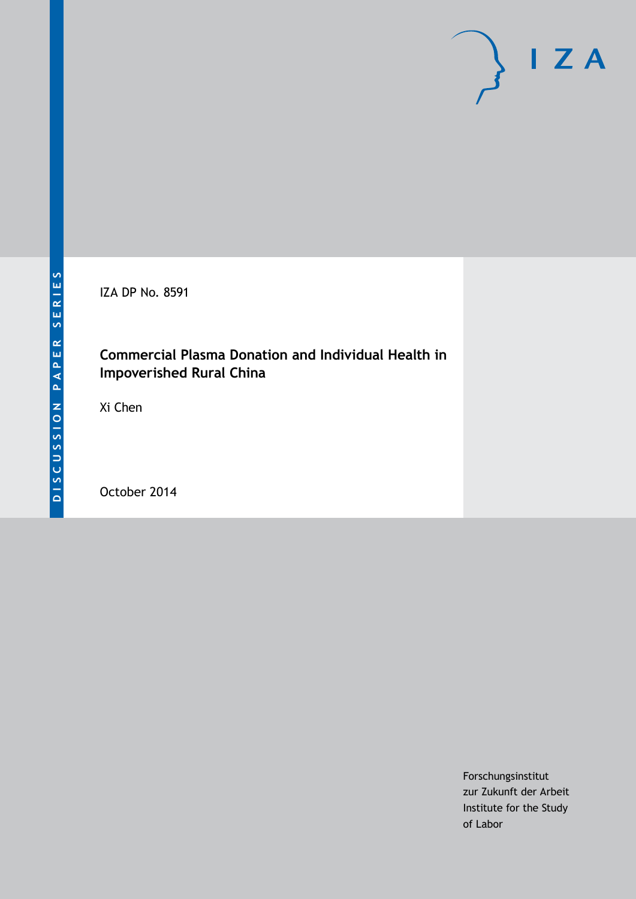IZA DP No. 8591

# **Commercial Plasma Donation and Individual Health in Impoverished Rural China**

Xi Chen

October 2014

Forschungsinstitut zur Zukunft der Arbeit Institute for the Study of Labor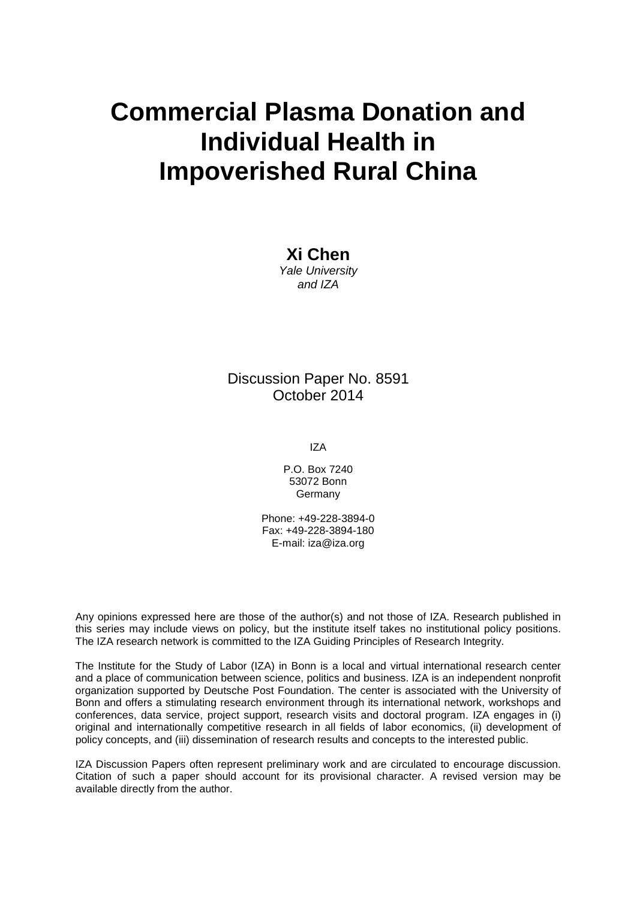# **Commercial Plasma Donation and Individual Health in Impoverished Rural China**

**Xi Chen** *Yale University and IZA*

### Discussion Paper No. 8591 October 2014

IZA

P.O. Box 7240 53072 Bonn Germany

Phone: +49-228-3894-0 Fax: +49-228-3894-180 E-mail: [iza@iza.org](mailto:iza@iza.org)

Any opinions expressed here are those of the author(s) and not those of IZA. Research published in this series may include views on policy, but the institute itself takes no institutional policy positions. The IZA research network is committed to the IZA Guiding Principles of Research Integrity.

The Institute for the Study of Labor (IZA) in Bonn is a local and virtual international research center and a place of communication between science, politics and business. IZA is an independent nonprofit organization supported by Deutsche Post Foundation. The center is associated with the University of Bonn and offers a stimulating research environment through its international network, workshops and conferences, data service, project support, research visits and doctoral program. IZA engages in (i) original and internationally competitive research in all fields of labor economics, (ii) development of policy concepts, and (iii) dissemination of research results and concepts to the interested public.

<span id="page-1-0"></span>IZA Discussion Papers often represent preliminary work and are circulated to encourage discussion. Citation of such a paper should account for its provisional character. A revised version may be available directly from the author.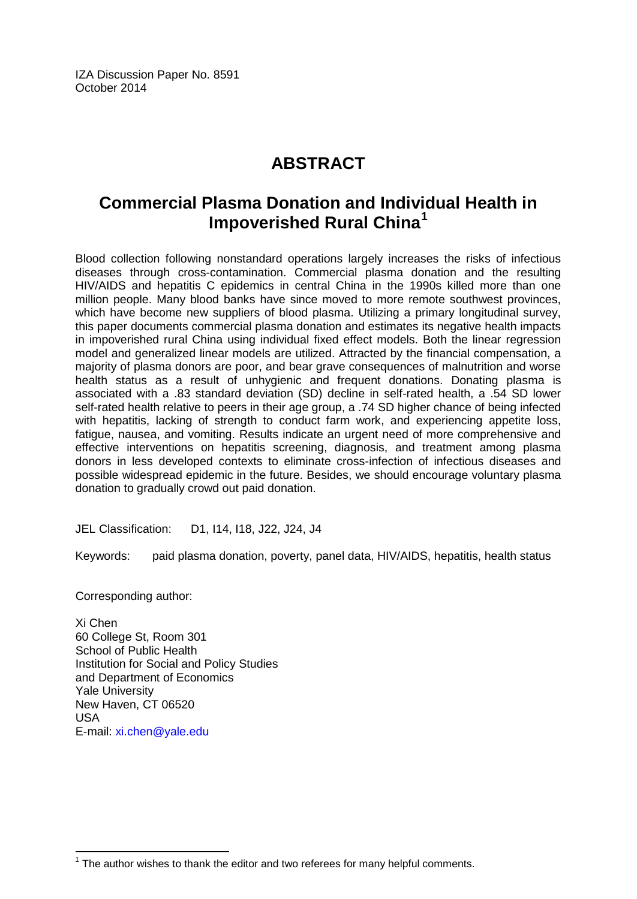IZA Discussion Paper No. 8591 October 2014

# **ABSTRACT**

# **Commercial Plasma Donation and Individual Health in Impoverished Rural China[1](#page-1-0)**

Blood collection following nonstandard operations largely increases the risks of infectious diseases through cross-contamination. Commercial plasma donation and the resulting HIV/AIDS and hepatitis C epidemics in central China in the 1990s killed more than one million people. Many blood banks have since moved to more remote southwest provinces, which have become new suppliers of blood plasma. Utilizing a primary longitudinal survey, this paper documents commercial plasma donation and estimates its negative health impacts in impoverished rural China using individual fixed effect models. Both the linear regression model and generalized linear models are utilized. Attracted by the financial compensation, a majority of plasma donors are poor, and bear grave consequences of malnutrition and worse health status as a result of unhygienic and frequent donations. Donating plasma is associated with a .83 standard deviation (SD) decline in self-rated health, a .54 SD lower self-rated health relative to peers in their age group, a .74 SD higher chance of being infected with hepatitis, lacking of strength to conduct farm work, and experiencing appetite loss, fatigue, nausea, and vomiting. Results indicate an urgent need of more comprehensive and effective interventions on hepatitis screening, diagnosis, and treatment among plasma donors in less developed contexts to eliminate cross-infection of infectious diseases and possible widespread epidemic in the future. Besides, we should encourage voluntary plasma donation to gradually crowd out paid donation.

JEL Classification: D1, I14, I18, J22, J24, J4

Keywords: paid plasma donation, poverty, panel data, HIV/AIDS, hepatitis, health status

Corresponding author:

Xi Chen 60 College St, Room 301 School of Public Health Institution for Social and Policy Studies and Department of Economics Yale University New Haven, CT 06520 USA E-mail: [xi.chen@yale.edu](mailto:xi.chen@yale.edu)

 $1$  The author wishes to thank the editor and two referees for many helpful comments.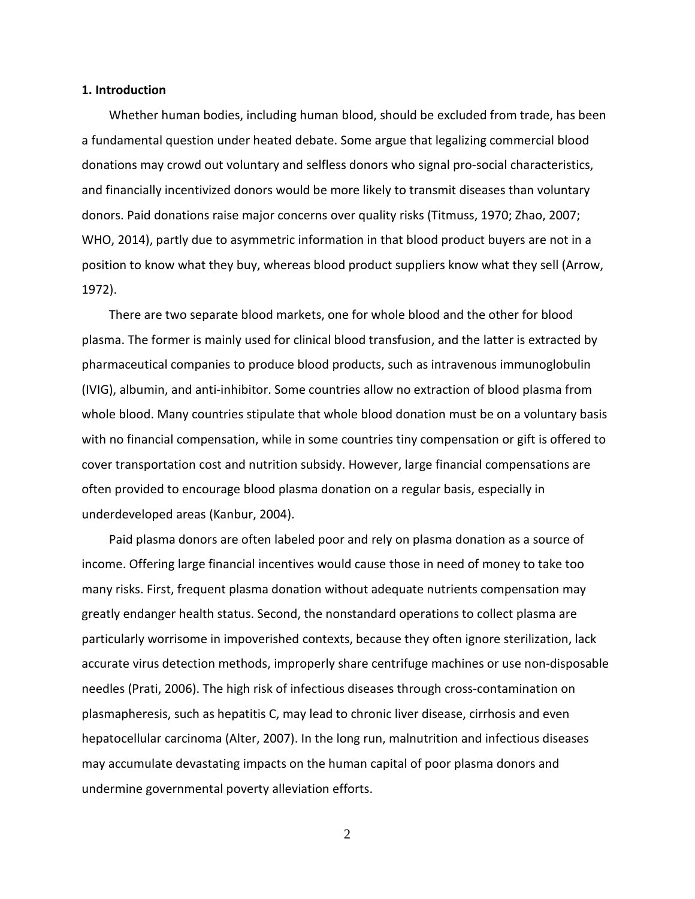#### **1. Introduction**

Whether human bodies, including human blood, should be excluded from trade, has been a fundamental question under heated debate. Some argue that legalizing commercial blood donations may crowd out voluntary and selfless donors who signal pro-social characteristics, and financially incentivized donors would be more likely to transmit diseases than voluntary donors. Paid donations raise major concerns over quality risks (Titmuss, 1970; Zhao, 2007; WHO, 2014), partly due to asymmetric information in that blood product buyers are not in a position to know what they buy, whereas blood product suppliers know what they sell (Arrow, 1972).

There are two separate blood markets, one for whole blood and the other for blood plasma. The former is mainly used for clinical blood transfusion, and the latter is extracted by pharmaceutical companies to produce blood products, such as intravenous immunoglobulin (IVIG), albumin, and anti-inhibitor. Some countries allow no extraction of blood plasma from whole blood. Many countries stipulate that whole blood donation must be on a voluntary basis with no financial compensation, while in some countries tiny compensation or gift is offered to cover transportation cost and nutrition subsidy. However, large financial compensations are often provided to encourage blood plasma donation on a regular basis, especially in underdeveloped areas (Kanbur, 2004).

Paid plasma donors are often labeled poor and rely on plasma donation as a source of income. Offering large financial incentives would cause those in need of money to take too many risks. First, frequent plasma donation without adequate nutrients compensation may greatly endanger health status. Second, the nonstandard operations to collect plasma are particularly worrisome in impoverished contexts, because they often ignore sterilization, lack accurate virus detection methods, improperly share centrifuge machines or use non-disposable needles (Prati, 2006). The high risk of infectious diseases through cross-contamination on plasmapheresis, such as hepatitis C, may lead to chronic liver disease, cirrhosis and even hepatocellular carcinoma (Alter, 2007). In the long run, malnutrition and infectious diseases may accumulate devastating impacts on the human capital of poor plasma donors and undermine governmental poverty alleviation efforts.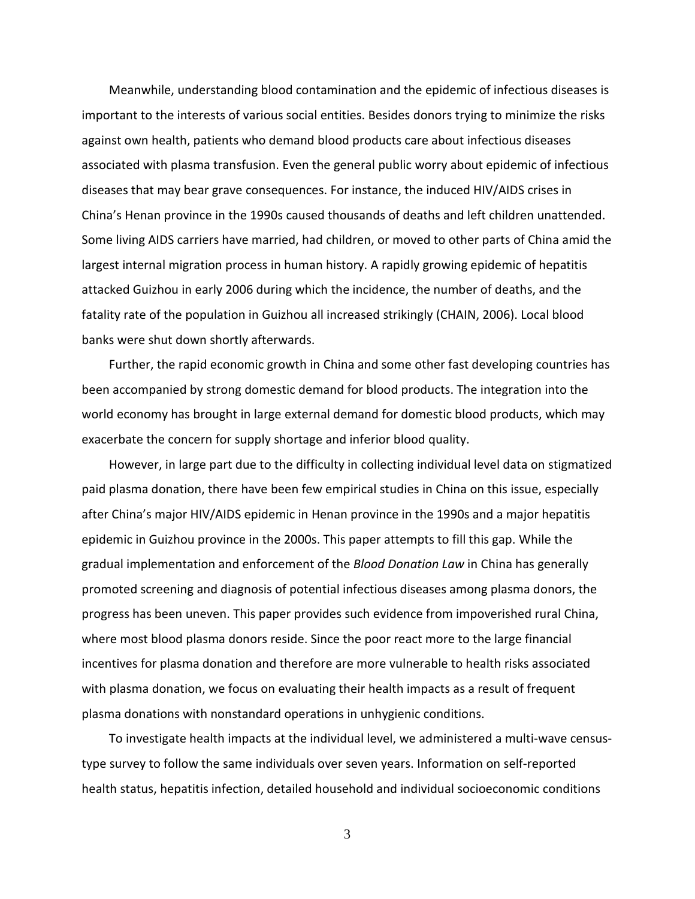Meanwhile, understanding blood contamination and the epidemic of infectious diseases is important to the interests of various social entities. Besides donors trying to minimize the risks against own health, patients who demand blood products care about infectious diseases associated with plasma transfusion. Even the general public worry about epidemic of infectious diseases that may bear grave consequences. For instance, the induced HIV/AIDS crises in China's Henan province in the 1990s caused thousands of deaths and left children unattended. Some living AIDS carriers have married, had children, or moved to other parts of China amid the largest internal migration process in human history. A rapidly growing epidemic of hepatitis attacked Guizhou in early 2006 during which the incidence, the number of deaths, and the fatality rate of the population in Guizhou all increased strikingly (CHAIN, 2006). Local blood banks were shut down shortly afterwards.

Further, the rapid economic growth in China and some other fast developing countries has been accompanied by strong domestic demand for blood products. The integration into the world economy has brought in large external demand for domestic blood products, which may exacerbate the concern for supply shortage and inferior blood quality.

However, in large part due to the difficulty in collecting individual level data on stigmatized paid plasma donation, there have been few empirical studies in China on this issue, especially after China's major HIV/AIDS epidemic in Henan province in the 1990s and a major hepatitis epidemic in Guizhou province in the 2000s. This paper attempts to fill this gap. While the gradual implementation and enforcement of the *Blood Donation Law* in China has generally promoted screening and diagnosis of potential infectious diseases among plasma donors, the progress has been uneven. This paper provides such evidence from impoverished rural China, where most blood plasma donors reside. Since the poor react more to the large financial incentives for plasma donation and therefore are more vulnerable to health risks associated with plasma donation, we focus on evaluating their health impacts as a result of frequent plasma donations with nonstandard operations in unhygienic conditions.

To investigate health impacts at the individual level, we administered a multi-wave censustype survey to follow the same individuals over seven years. Information on self-reported health status, hepatitis infection, detailed household and individual socioeconomic conditions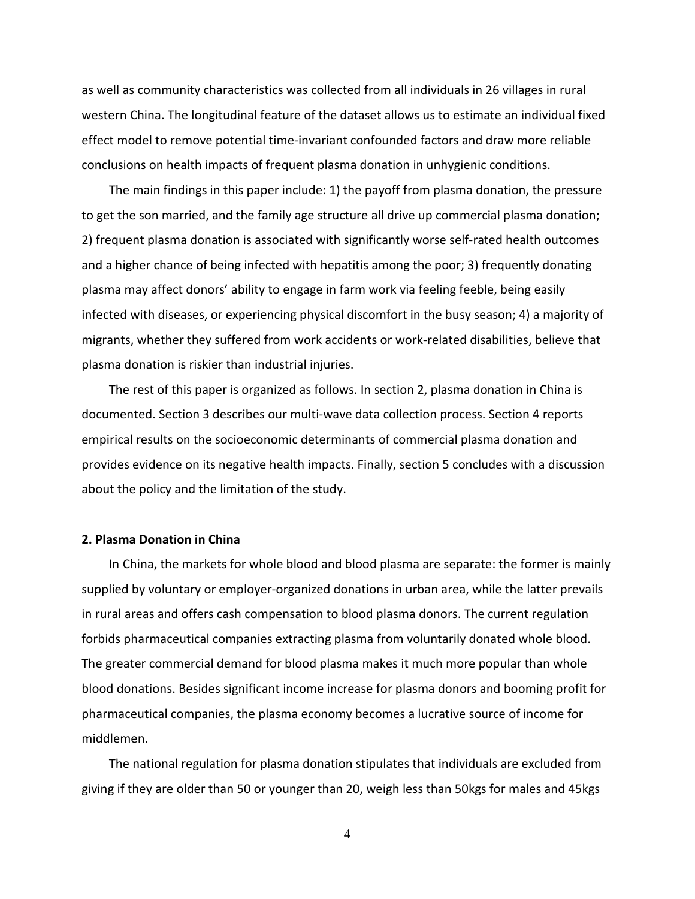as well as community characteristics was collected from all individuals in 26 villages in rural western China. The longitudinal feature of the dataset allows us to estimate an individual fixed effect model to remove potential time-invariant confounded factors and draw more reliable conclusions on health impacts of frequent plasma donation in unhygienic conditions.

The main findings in this paper include: 1) the payoff from plasma donation, the pressure to get the son married, and the family age structure all drive up commercial plasma donation; 2) frequent plasma donation is associated with significantly worse self-rated health outcomes and a higher chance of being infected with hepatitis among the poor; 3) frequently donating plasma may affect donors' ability to engage in farm work via feeling feeble, being easily infected with diseases, or experiencing physical discomfort in the busy season; 4) a majority of migrants, whether they suffered from work accidents or work-related disabilities, believe that plasma donation is riskier than industrial injuries.

The rest of this paper is organized as follows. In section 2, plasma donation in China is documented. Section 3 describes our multi-wave data collection process. Section 4 reports empirical results on the socioeconomic determinants of commercial plasma donation and provides evidence on its negative health impacts. Finally, section 5 concludes with a discussion about the policy and the limitation of the study.

#### **2. Plasma Donation in China**

In China, the markets for whole blood and blood plasma are separate: the former is mainly supplied by voluntary or employer-organized donations in urban area, while the latter prevails in rural areas and offers cash compensation to blood plasma donors. The current regulation forbids pharmaceutical companies extracting plasma from voluntarily donated whole blood. The greater commercial demand for blood plasma makes it much more popular than whole blood donations. Besides significant income increase for plasma donors and booming profit for pharmaceutical companies, the plasma economy becomes a lucrative source of income for middlemen.

The national regulation for plasma donation stipulates that individuals are excluded from giving if they are older than 50 or younger than 20, weigh less than 50kgs for males and 45kgs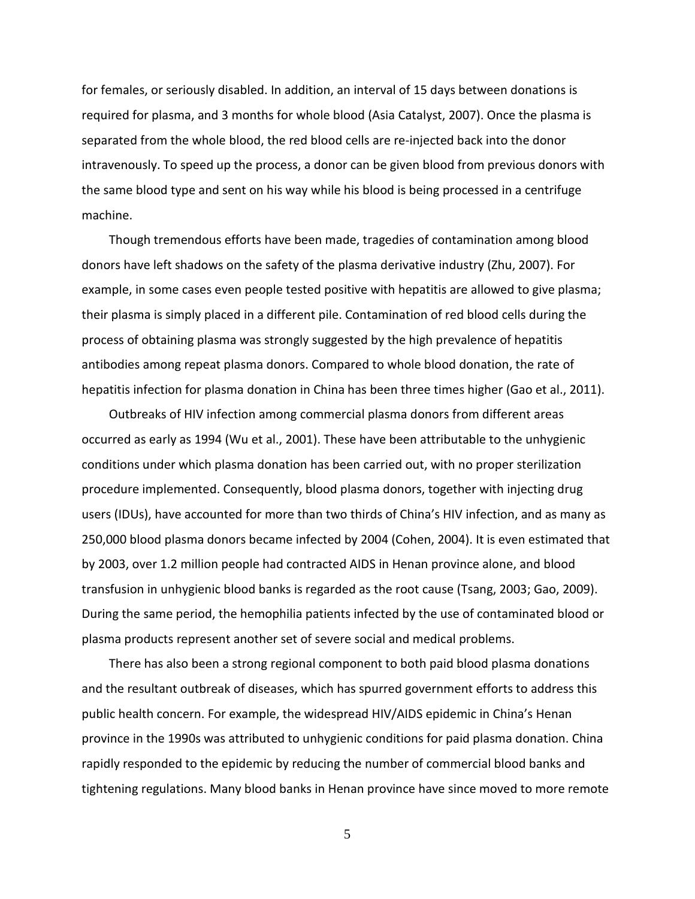for females, or seriously disabled. In addition, an interval of 15 days between donations is required for plasma, and 3 months for whole blood (Asia Catalyst, 2007). Once the plasma is separated from the whole blood, the red blood cells are re-injected back into the donor intravenously. To speed up the process, a donor can be given blood from previous donors with the same blood type and sent on his way while his blood is being processed in a centrifuge machine.

Though tremendous efforts have been made, tragedies of contamination among blood donors have left shadows on the safety of the plasma derivative industry (Zhu, 2007). For example, in some cases even people tested positive with hepatitis are allowed to give plasma; their plasma is simply placed in a different pile. Contamination of red blood cells during the process of obtaining plasma was strongly suggested by the high prevalence of hepatitis antibodies among repeat plasma donors. Compared to whole blood donation, the rate of hepatitis infection for plasma donation in China has been three times higher (Gao et al., 2011).

Outbreaks of HIV infection among commercial plasma donors from different areas occurred as early as 1994 (Wu et al., 2001). These have been attributable to the unhygienic conditions under which plasma donation has been carried out, with no proper sterilization procedure implemented. Consequently, blood plasma donors, together with injecting drug users (IDUs), have accounted for more than two thirds of China's HIV infection, and as many as 250,000 blood plasma donors became infected by 2004 (Cohen, 2004). It is even estimated that by 2003, over 1.2 million people had contracted AIDS in Henan province alone, and blood transfusion in unhygienic blood banks is regarded as the root cause (Tsang, 2003; Gao, 2009). During the same period, the hemophilia patients infected by the use of contaminated blood or plasma products represent another set of severe social and medical problems.

There has also been a strong regional component to both paid blood plasma donations and the resultant outbreak of diseases, which has spurred government efforts to address this public health concern. For example, the widespread HIV/AIDS epidemic in China's Henan province in the 1990s was attributed to unhygienic conditions for paid plasma donation. China rapidly responded to the epidemic by reducing the number of commercial blood banks and tightening regulations. Many blood banks in Henan province have since moved to more remote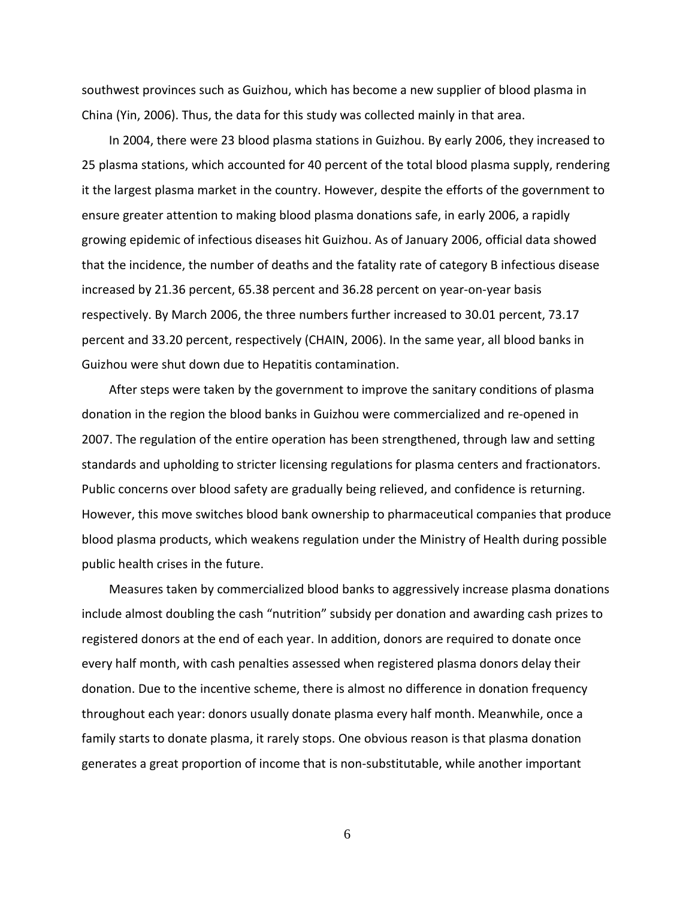southwest provinces such as Guizhou, which has become a new supplier of blood plasma in China (Yin, 2006). Thus, the data for this study was collected mainly in that area.

In 2004, there were 23 blood plasma stations in Guizhou. By early 2006, they increased to 25 plasma stations, which accounted for 40 percent of the total blood plasma supply, rendering it the largest plasma market in the country. However, despite the efforts of the government to ensure greater attention to making blood plasma donations safe, in early 2006, a rapidly growing epidemic of infectious diseases hit Guizhou. As of January 2006, official data showed that the incidence, the number of deaths and the fatality rate of category B infectious disease increased by 21.36 percent, 65.38 percent and 36.28 percent on year-on-year basis respectively. By March 2006, the three numbers further increased to 30.01 percent, 73.17 percent and 33.20 percent, respectively (CHAIN, 2006). In the same year, all blood banks in Guizhou were shut down due to Hepatitis contamination.

After steps were taken by the government to improve the sanitary conditions of plasma donation in the region the blood banks in Guizhou were commercialized and re-opened in 2007. The regulation of the entire operation has been strengthened, through law and setting standards and upholding to stricter licensing regulations for plasma centers and fractionators. Public concerns over blood safety are gradually being relieved, and confidence is returning. However, this move switches blood bank ownership to pharmaceutical companies that produce blood plasma products, which weakens regulation under the Ministry of Health during possible public health crises in the future.

Measures taken by commercialized blood banks to aggressively increase plasma donations include almost doubling the cash "nutrition" subsidy per donation and awarding cash prizes to registered donors at the end of each year. In addition, donors are required to donate once every half month, with cash penalties assessed when registered plasma donors delay their donation. Due to the incentive scheme, there is almost no difference in donation frequency throughout each year: donors usually donate plasma every half month. Meanwhile, once a family starts to donate plasma, it rarely stops. One obvious reason is that plasma donation generates a great proportion of income that is non-substitutable, while another important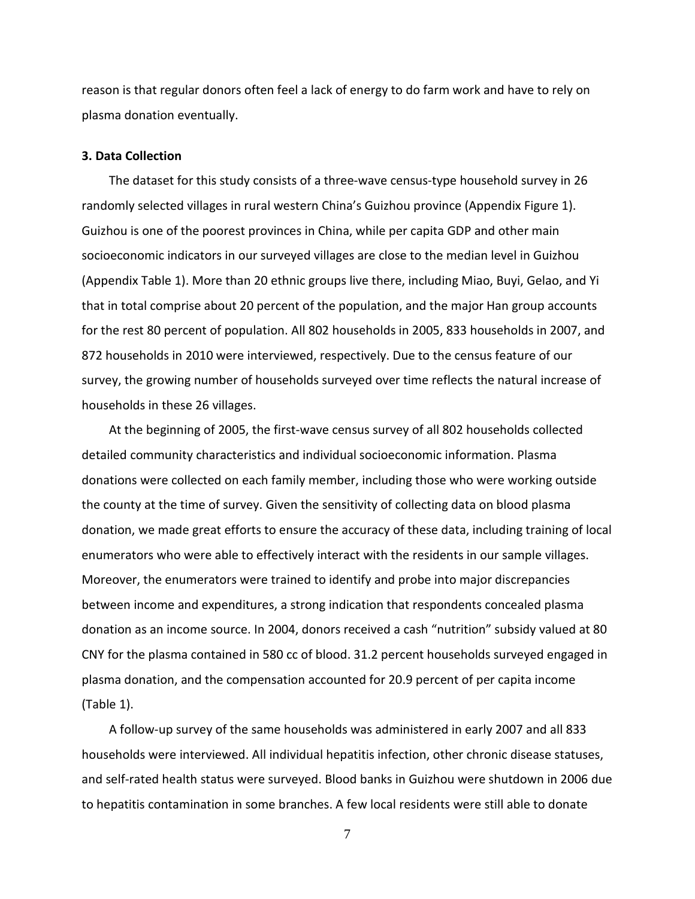reason is that regular donors often feel a lack of energy to do farm work and have to rely on plasma donation eventually.

#### **3. Data Collection**

The dataset for this study consists of a three-wave census-type household survey in 26 randomly selected villages in rural western China's Guizhou province (Appendix Figure 1). Guizhou is one of the poorest provinces in China, while per capita GDP and other main socioeconomic indicators in our surveyed villages are close to the median level in Guizhou (Appendix Table 1). More than 20 ethnic groups live there, including Miao, Buyi, Gelao, and Yi that in total comprise about 20 percent of the population, and the major Han group accounts for the rest 80 percent of population. All 802 households in 2005, 833 households in 2007, and 872 households in 2010 were interviewed, respectively. Due to the census feature of our survey, the growing number of households surveyed over time reflects the natural increase of households in these 26 villages.

At the beginning of 2005, the first-wave census survey of all 802 households collected detailed community characteristics and individual socioeconomic information. Plasma donations were collected on each family member, including those who were working outside the county at the time of survey. Given the sensitivity of collecting data on blood plasma donation, we made great efforts to ensure the accuracy of these data, including training of local enumerators who were able to effectively interact with the residents in our sample villages. Moreover, the enumerators were trained to identify and probe into major discrepancies between income and expenditures, a strong indication that respondents concealed plasma donation as an income source. In 2004, donors received a cash "nutrition" subsidy valued at 80 CNY for the plasma contained in 580 cc of blood. 31.2 percent households surveyed engaged in plasma donation, and the compensation accounted for 20.9 percent of per capita income (Table 1).

A follow-up survey of the same households was administered in early 2007 and all 833 households were interviewed. All individual hepatitis infection, other chronic disease statuses, and self-rated health status were surveyed. Blood banks in Guizhou were shutdown in 2006 due to hepatitis contamination in some branches. A few local residents were still able to donate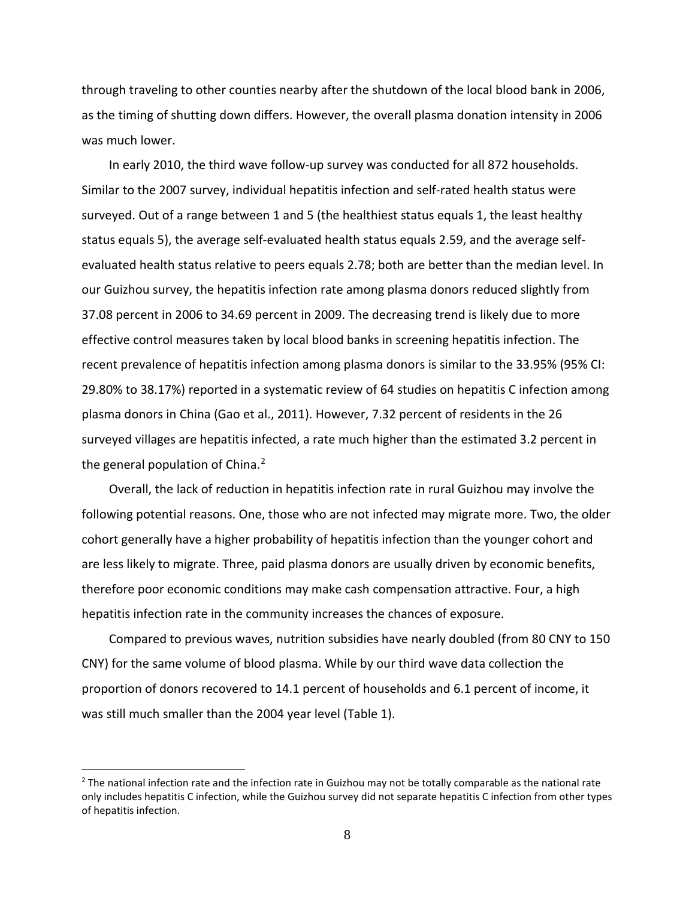through traveling to other counties nearby after the shutdown of the local blood bank in 2006, as the timing of shutting down differs. However, the overall plasma donation intensity in 2006 was much lower.

In early 2010, the third wave follow-up survey was conducted for all 872 households. Similar to the 2007 survey, individual hepatitis infection and self-rated health status were surveyed. Out of a range between 1 and 5 (the healthiest status equals 1, the least healthy status equals 5), the average self-evaluated health status equals 2.59, and the average selfevaluated health status relative to peers equals 2.78; both are better than the median level. In our Guizhou survey, the hepatitis infection rate among plasma donors reduced slightly from 37.08 percent in 2006 to 34.69 percent in 2009. The decreasing trend is likely due to more effective control measures taken by local blood banks in screening hepatitis infection. The recent prevalence of hepatitis infection among plasma donors is similar to the 33.95% (95% CI: 29.80% to 38.17%) reported in a systematic review of 64 studies on hepatitis C infection among plasma donors in China (Gao et al., 2011). However, 7.32 percent of residents in the 26 surveyed villages are hepatitis infected, a rate much higher than the estimated 3.2 percent in the general population of China.<sup>[2](#page-10-0)</sup>

Overall, the lack of reduction in hepatitis infection rate in rural Guizhou may involve the following potential reasons. One, those who are not infected may migrate more. Two, the older cohort generally have a higher probability of hepatitis infection than the younger cohort and are less likely to migrate. Three, paid plasma donors are usually driven by economic benefits, therefore poor economic conditions may make cash compensation attractive. Four, a high hepatitis infection rate in the community increases the chances of exposure.

Compared to previous waves, nutrition subsidies have nearly doubled (from 80 CNY to 150 CNY) for the same volume of blood plasma. While by our third wave data collection the proportion of donors recovered to 14.1 percent of households and 6.1 percent of income, it was still much smaller than the 2004 year level (Table 1).

 $\overline{a}$ 

 $2$  The national infection rate and the infection rate in Guizhou may not be totally comparable as the national rate only includes hepatitis C infection, while the Guizhou survey did not separate hepatitis C infection from other types of hepatitis infection.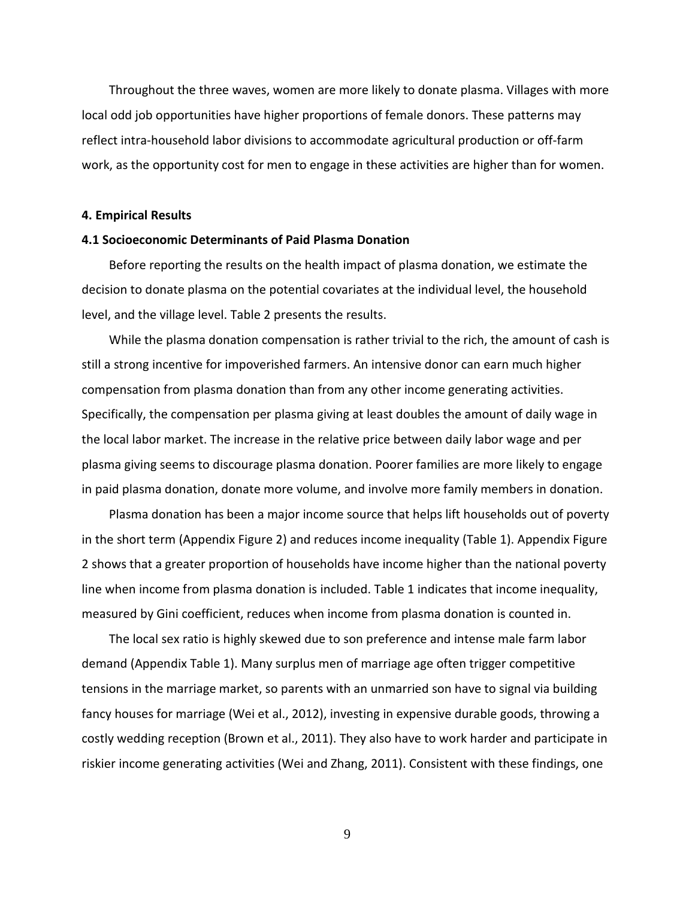Throughout the three waves, women are more likely to donate plasma. Villages with more local odd job opportunities have higher proportions of female donors. These patterns may reflect intra-household labor divisions to accommodate agricultural production or off-farm work, as the opportunity cost for men to engage in these activities are higher than for women.

#### **4. Empirical Results**

#### **4.1 Socioeconomic Determinants of Paid Plasma Donation**

Before reporting the results on the health impact of plasma donation, we estimate the decision to donate plasma on the potential covariates at the individual level, the household level, and the village level. Table 2 presents the results.

While the plasma donation compensation is rather trivial to the rich, the amount of cash is still a strong incentive for impoverished farmers. An intensive donor can earn much higher compensation from plasma donation than from any other income generating activities. Specifically, the compensation per plasma giving at least doubles the amount of daily wage in the local labor market. The increase in the relative price between daily labor wage and per plasma giving seems to discourage plasma donation. Poorer families are more likely to engage in paid plasma donation, donate more volume, and involve more family members in donation.

Plasma donation has been a major income source that helps lift households out of poverty in the short term (Appendix Figure 2) and reduces income inequality (Table 1). Appendix Figure 2 shows that a greater proportion of households have income higher than the national poverty line when income from plasma donation is included. Table 1 indicates that income inequality, measured by Gini coefficient, reduces when income from plasma donation is counted in.

<span id="page-10-0"></span>The local sex ratio is highly skewed due to son preference and intense male farm labor demand (Appendix Table 1). Many surplus men of marriage age often trigger competitive tensions in the marriage market, so parents with an unmarried son have to signal via building fancy houses for marriage (Wei et al., 2012), investing in expensive durable goods, throwing a costly wedding reception (Brown et al., 2011). They also have to work harder and participate in riskier income generating activities (Wei and Zhang, 2011). Consistent with these findings, one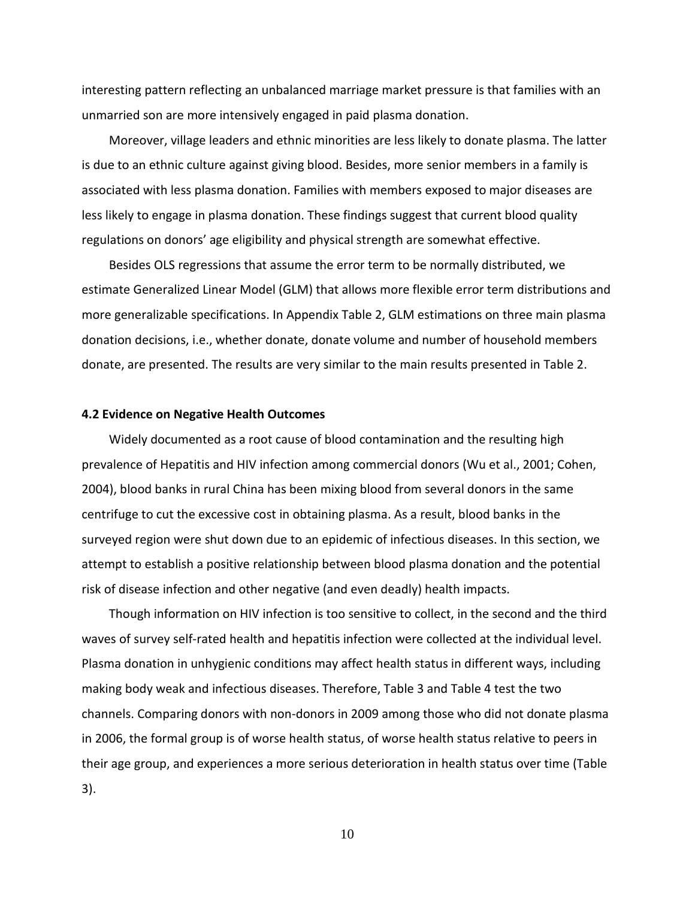interesting pattern reflecting an unbalanced marriage market pressure is that families with an unmarried son are more intensively engaged in paid plasma donation.

Moreover, village leaders and ethnic minorities are less likely to donate plasma. The latter is due to an ethnic culture against giving blood. Besides, more senior members in a family is associated with less plasma donation. Families with members exposed to major diseases are less likely to engage in plasma donation. These findings suggest that current blood quality regulations on donors' age eligibility and physical strength are somewhat effective.

Besides OLS regressions that assume the error term to be normally distributed, we estimate Generalized Linear Model (GLM) that allows more flexible error term distributions and more generalizable specifications. In Appendix Table 2, GLM estimations on three main plasma donation decisions, i.e., whether donate, donate volume and number of household members donate, are presented. The results are very similar to the main results presented in Table 2.

#### **4.2 Evidence on Negative Health Outcomes**

Widely documented as a root cause of blood contamination and the resulting high prevalence of Hepatitis and HIV infection among commercial donors (Wu et al., 2001; Cohen, 2004), blood banks in rural China has been mixing blood from several donors in the same centrifuge to cut the excessive cost in obtaining plasma. As a result, blood banks in the surveyed region were shut down due to an epidemic of infectious diseases. In this section, we attempt to establish a positive relationship between blood plasma donation and the potential risk of disease infection and other negative (and even deadly) health impacts.

Though information on HIV infection is too sensitive to collect, in the second and the third waves of survey self-rated health and hepatitis infection were collected at the individual level. Plasma donation in unhygienic conditions may affect health status in different ways, including making body weak and infectious diseases. Therefore, Table 3 and Table 4 test the two channels. Comparing donors with non-donors in 2009 among those who did not donate plasma in 2006, the formal group is of worse health status, of worse health status relative to peers in their age group, and experiences a more serious deterioration in health status over time (Table 3).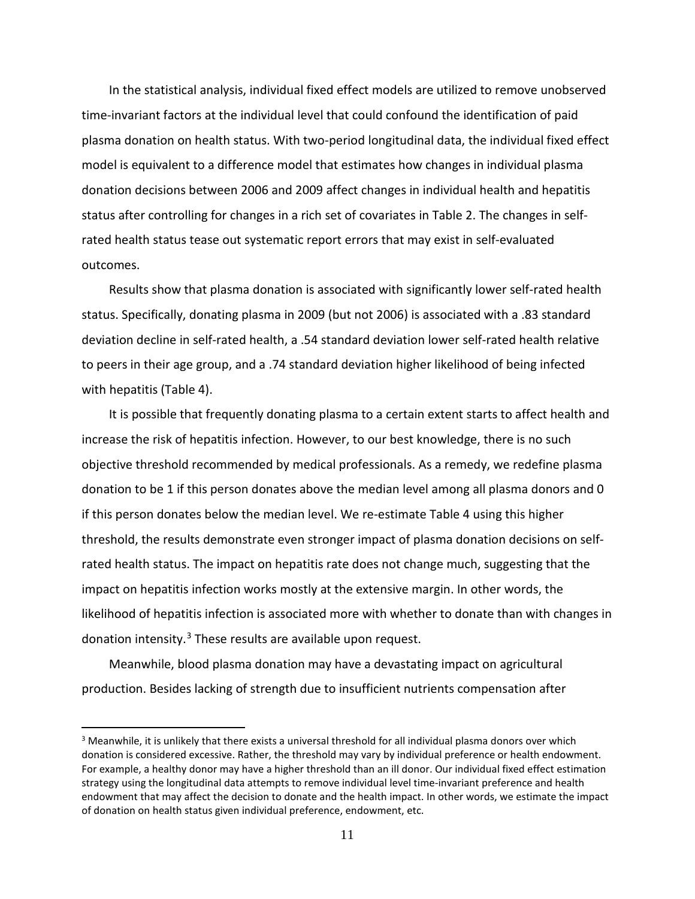In the statistical analysis, individual fixed effect models are utilized to remove unobserved time-invariant factors at the individual level that could confound the identification of paid plasma donation on health status. With two-period longitudinal data, the individual fixed effect model is equivalent to a difference model that estimates how changes in individual plasma donation decisions between 2006 and 2009 affect changes in individual health and hepatitis status after controlling for changes in a rich set of covariates in Table 2. The changes in selfrated health status tease out systematic report errors that may exist in self-evaluated outcomes.

Results show that plasma donation is associated with significantly lower self-rated health status. Specifically, donating plasma in 2009 (but not 2006) is associated with a .83 standard deviation decline in self-rated health, a .54 standard deviation lower self-rated health relative to peers in their age group, and a .74 standard deviation higher likelihood of being infected with hepatitis (Table 4).

It is possible that frequently donating plasma to a certain extent starts to affect health and increase the risk of hepatitis infection. However, to our best knowledge, there is no such objective threshold recommended by medical professionals. As a remedy, we redefine plasma donation to be 1 if this person donates above the median level among all plasma donors and 0 if this person donates below the median level. We re-estimate Table 4 using this higher threshold, the results demonstrate even stronger impact of plasma donation decisions on selfrated health status. The impact on hepatitis rate does not change much, suggesting that the impact on hepatitis infection works mostly at the extensive margin. In other words, the likelihood of hepatitis infection is associated more with whether to donate than with changes in donation intensity.[3](#page-14-0) These results are available upon request.

Meanwhile, blood plasma donation may have a devastating impact on agricultural production. Besides lacking of strength due to insufficient nutrients compensation after

 $\overline{a}$ 

<sup>&</sup>lt;sup>3</sup> Meanwhile, it is unlikely that there exists a universal threshold for all individual plasma donors over which donation is considered excessive. Rather, the threshold may vary by individual preference or health endowment. For example, a healthy donor may have a higher threshold than an ill donor. Our individual fixed effect estimation strategy using the longitudinal data attempts to remove individual level time-invariant preference and health endowment that may affect the decision to donate and the health impact. In other words, we estimate the impact of donation on health status given individual preference, endowment, etc.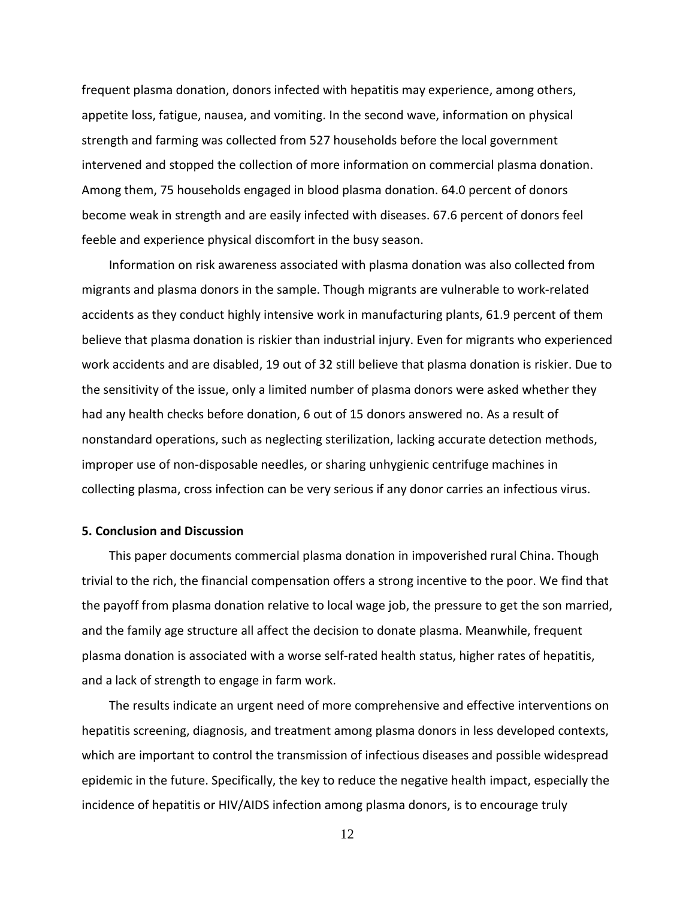frequent plasma donation, donors infected with hepatitis may experience, among others, appetite loss, fatigue, nausea, and vomiting. In the second wave, information on physical strength and farming was collected from 527 households before the local government intervened and stopped the collection of more information on commercial plasma donation. Among them, 75 households engaged in blood plasma donation. 64.0 percent of donors become weak in strength and are easily infected with diseases. 67.6 percent of donors feel feeble and experience physical discomfort in the busy season.

Information on risk awareness associated with plasma donation was also collected from migrants and plasma donors in the sample. Though migrants are vulnerable to work-related accidents as they conduct highly intensive work in manufacturing plants, 61.9 percent of them believe that plasma donation is riskier than industrial injury. Even for migrants who experienced work accidents and are disabled, 19 out of 32 still believe that plasma donation is riskier. Due to the sensitivity of the issue, only a limited number of plasma donors were asked whether they had any health checks before donation, 6 out of 15 donors answered no. As a result of nonstandard operations, such as neglecting sterilization, lacking accurate detection methods, improper use of non-disposable needles, or sharing unhygienic centrifuge machines in collecting plasma, cross infection can be very serious if any donor carries an infectious virus.

#### **5. Conclusion and Discussion**

This paper documents commercial plasma donation in impoverished rural China. Though trivial to the rich, the financial compensation offers a strong incentive to the poor. We find that the payoff from plasma donation relative to local wage job, the pressure to get the son married, and the family age structure all affect the decision to donate plasma. Meanwhile, frequent plasma donation is associated with a worse self-rated health status, higher rates of hepatitis, and a lack of strength to engage in farm work.

The results indicate an urgent need of more comprehensive and effective interventions on hepatitis screening, diagnosis, and treatment among plasma donors in less developed contexts, which are important to control the transmission of infectious diseases and possible widespread epidemic in the future. Specifically, the key to reduce the negative health impact, especially the incidence of hepatitis or HIV/AIDS infection among plasma donors, is to encourage truly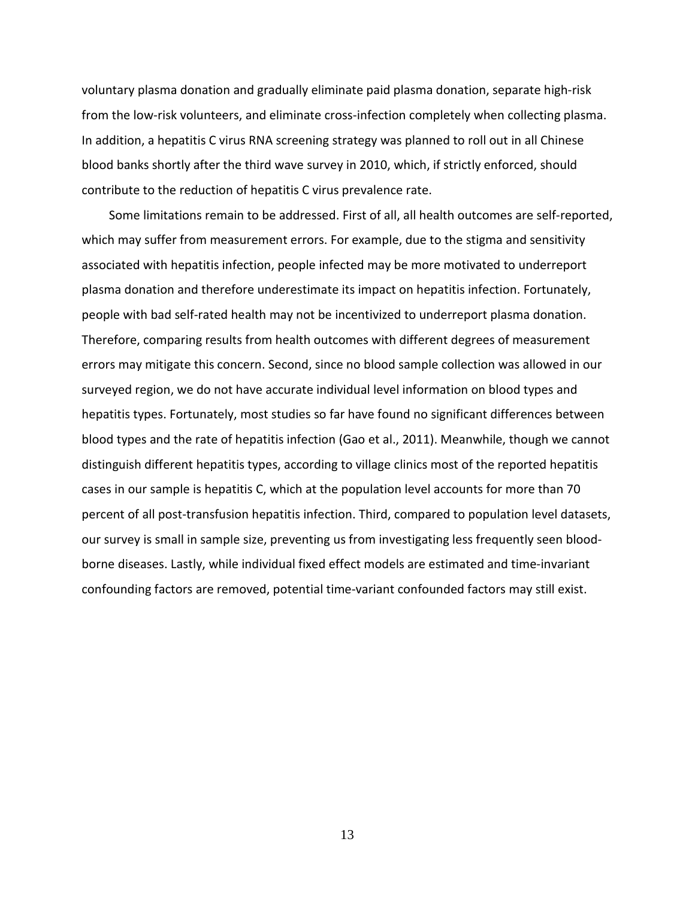voluntary plasma donation and gradually eliminate paid plasma donation, separate high-risk from the low-risk volunteers, and eliminate cross-infection completely when collecting plasma. In addition, a hepatitis C virus RNA screening strategy was planned to roll out in all Chinese blood banks shortly after the third wave survey in 2010, which, if strictly enforced, should contribute to the reduction of hepatitis C virus prevalence rate.

<span id="page-14-0"></span>Some limitations remain to be addressed. First of all, all health outcomes are self-reported, which may suffer from measurement errors. For example, due to the stigma and sensitivity associated with hepatitis infection, people infected may be more motivated to underreport plasma donation and therefore underestimate its impact on hepatitis infection. Fortunately, people with bad self-rated health may not be incentivized to underreport plasma donation. Therefore, comparing results from health outcomes with different degrees of measurement errors may mitigate this concern. Second, since no blood sample collection was allowed in our surveyed region, we do not have accurate individual level information on blood types and hepatitis types. Fortunately, most studies so far have found no significant differences between blood types and the rate of hepatitis infection (Gao et al., 2011). Meanwhile, though we cannot distinguish different hepatitis types, according to village clinics most of the reported hepatitis cases in our sample is hepatitis C, which at the population level accounts for more than 70 percent of all post-transfusion hepatitis infection. Third, compared to population level datasets, our survey is small in sample size, preventing us from investigating less frequently seen bloodborne diseases. Lastly, while individual fixed effect models are estimated and time-invariant confounding factors are removed, potential time-variant confounded factors may still exist.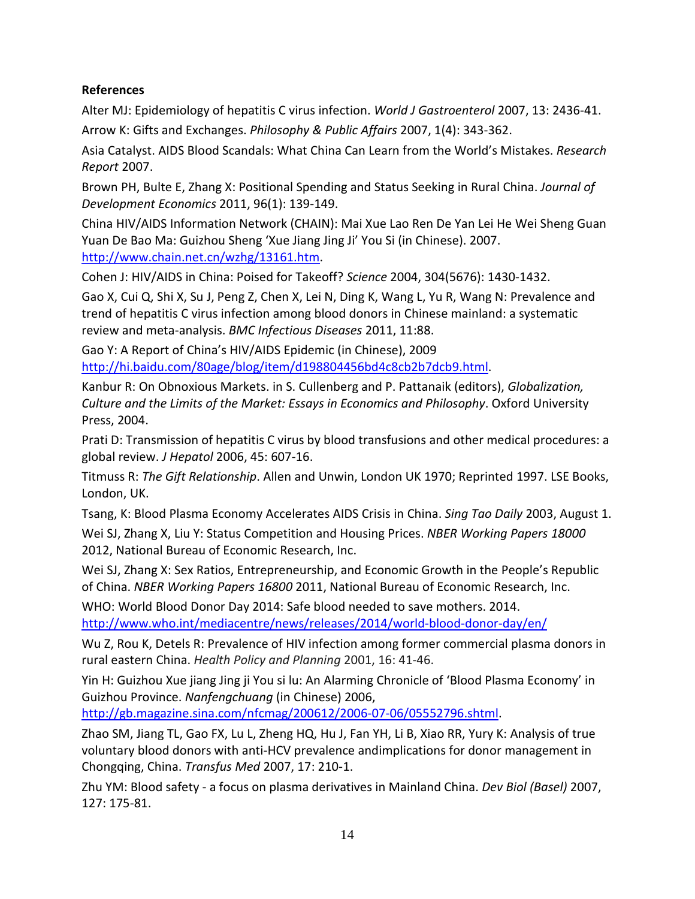### **References**

Alter MJ: Epidemiology of hepatitis C virus infection. *World J Gastroenterol* 2007, 13: 2436-41.

Arrow K: Gifts and Exchanges. *Philosophy & Public Affairs* 2007, 1(4): 343-362.

Asia Catalyst. AIDS Blood Scandals: What China Can Learn from the World's Mistakes. *Research Report* 2007.

Brown PH, Bulte E, Zhang X: Positional Spending and Status Seeking in Rural China. *Journal of Development Economics* 2011, 96(1): 139-149.

China HIV/AIDS Information Network (CHAIN): Mai Xue Lao Ren De Yan Lei He Wei Sheng Guan Yuan De Bao Ma: Guizhou Sheng 'Xue Jiang Jing Ji' You Si (in Chinese). 2007. [http://www.chain.net.cn/wzhg/13161.htm.](http://www.chain.net.cn/wzhg/13161.htm)

Cohen J: HIV/AIDS in China: Poised for Takeoff? *Science* 2004, 304(5676): 1430-1432.

Gao X, Cui Q, Shi X, Su J, Peng Z, Chen X, Lei N, Ding K, Wang L, Yu R, Wang N: Prevalence and trend of hepatitis C virus infection among blood donors in Chinese mainland: a systematic review and meta-analysis. *BMC Infectious Diseases* 2011, 11:88.

Gao Y: A Report of China's HIV/AIDS Epidemic (in Chinese), 2009 [http://hi.baidu.com/80age/blog/item/d198804456bd4c8cb2b7dcb9.html.](http://hi.baidu.com/80age/blog/item/d198804456bd4c8cb2b7dcb9.html)

Kanbur R: On Obnoxious Markets. in S. Cullenberg and P. Pattanaik (editors), *Globalization, Culture and the Limits of the Market: Essays in Economics and Philosophy*. Oxford University Press, 2004.

Prati D: Transmission of hepatitis C virus by blood transfusions and other medical procedures: a global review. *J Hepatol* 2006, 45: 607-16.

Titmuss R: *The Gift Relationship*. Allen and Unwin, London UK 1970; Reprinted 1997. LSE Books, London, UK.

Tsang, K: Blood Plasma Economy Accelerates AIDS Crisis in China. *Sing Tao Daily* 2003, August 1.

Wei SJ, Zhang X, Liu Y: Status Competition and Housing Prices. *NBER Working Papers 18000* 2012, National Bureau of Economic Research, Inc.

Wei SJ, Zhang X: Sex Ratios, Entrepreneurship, and Economic Growth in the People's Republic of China. *NBER Working Papers 16800* 2011, National Bureau of Economic Research, Inc.

WHO: World Blood Donor Day 2014: Safe blood needed to save mothers. 2014. <http://www.who.int/mediacentre/news/releases/2014/world-blood-donor-day/en/>

Wu Z, Rou K, Detels R: Prevalence of HIV infection among former commercial plasma donors in rural eastern China. *Health Policy and Planning* 2001, 16: 41-46.

Yin H: Guizhou Xue jiang Jing ji You si lu: An Alarming Chronicle of 'Blood Plasma Economy' in Guizhou Province. *Nanfengchuang* (in Chinese) 2006,

[http://gb.magazine.sina.com/nfcmag/200612/2006-07-06/05552796.shtml.](http://gb.magazine.sina.com/nfcmag/200612/2006-07-06/05552796.shtml)

Zhao SM, Jiang TL, Gao FX, Lu L, Zheng HQ, Hu J, Fan YH, Li B, Xiao RR, Yury K: Analysis of true voluntary blood donors with anti-HCV prevalence andimplications for donor management in Chongqing, China. *Transfus Med* 2007, 17: 210-1.

Zhu YM: Blood safety - a focus on plasma derivatives in Mainland China. *Dev Biol (Basel)* 2007, 127: 175-81.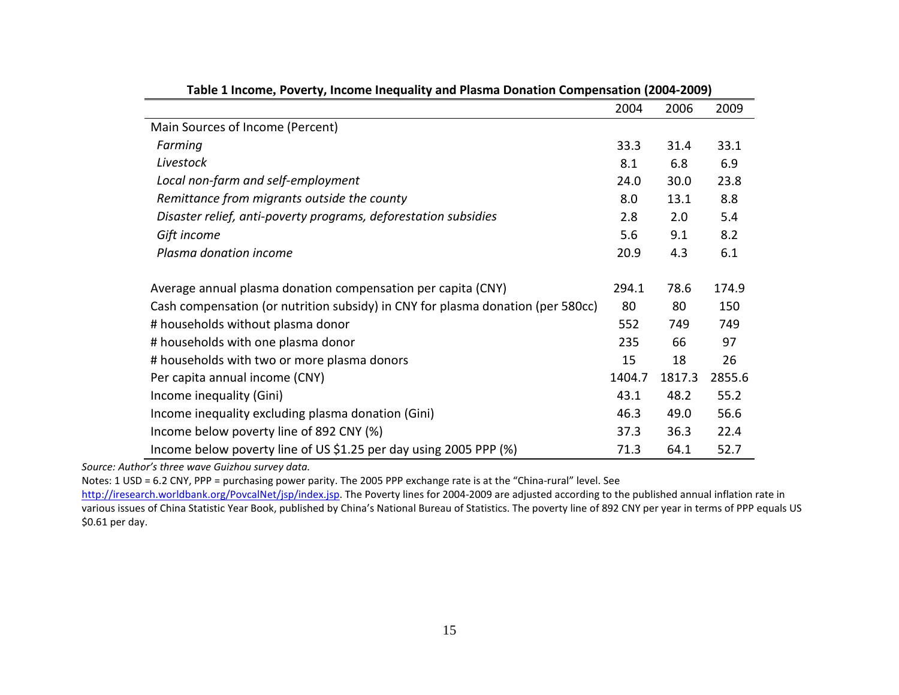|                                                                                 | 2004   | 2006   | 2009   |
|---------------------------------------------------------------------------------|--------|--------|--------|
| Main Sources of Income (Percent)                                                |        |        |        |
| Farming                                                                         | 33.3   | 31.4   | 33.1   |
| Livestock                                                                       | 8.1    | 6.8    | 6.9    |
| Local non-farm and self-employment                                              | 24.0   | 30.0   | 23.8   |
| Remittance from migrants outside the county                                     | 8.0    | 13.1   | 8.8    |
| Disaster relief, anti-poverty programs, deforestation subsidies                 | 2.8    | 2.0    | 5.4    |
| Gift income                                                                     | 5.6    | 9.1    | 8.2    |
| Plasma donation income                                                          | 20.9   | 4.3    | 6.1    |
| Average annual plasma donation compensation per capita (CNY)                    | 294.1  | 78.6   | 174.9  |
| Cash compensation (or nutrition subsidy) in CNY for plasma donation (per 580cc) | 80     | 80     | 150    |
| # households without plasma donor                                               | 552    | 749    | 749    |
| # households with one plasma donor                                              | 235    | 66     | 97     |
| # households with two or more plasma donors                                     | 15     | 18     | 26     |
| Per capita annual income (CNY)                                                  | 1404.7 | 1817.3 | 2855.6 |
| Income inequality (Gini)                                                        | 43.1   | 48.2   | 55.2   |
| Income inequality excluding plasma donation (Gini)                              | 46.3   | 49.0   | 56.6   |
| Income below poverty line of 892 CNY (%)                                        | 37.3   | 36.3   | 22.4   |
| Income below poverty line of US \$1.25 per day using 2005 PPP (%)               | 71.3   | 64.1   | 52.7   |

|  |  | Table 1 Income, Poverty, Income Inequality and Plasma Donation Compensation (2004-2009) |
|--|--|-----------------------------------------------------------------------------------------|
|--|--|-----------------------------------------------------------------------------------------|

*Source: Author's three wave Guizhou survey data.*

Notes: 1 USD = 6.2 CNY, PPP = purchasing power parity. The 2005 PPP exchange rate is at the "China-rural" level. See

http://iresearch.worldbank.org/PovcalNet/jsp/index.jsp</u>. The Poverty lines for 2004-2009 are adjusted according to the published annual inflation rate in various issues of China Statistic Year Book, published by China's National Bureau of Statistics. The poverty line of 892 CNY per year in terms of PPP equals US \$0.61 per day.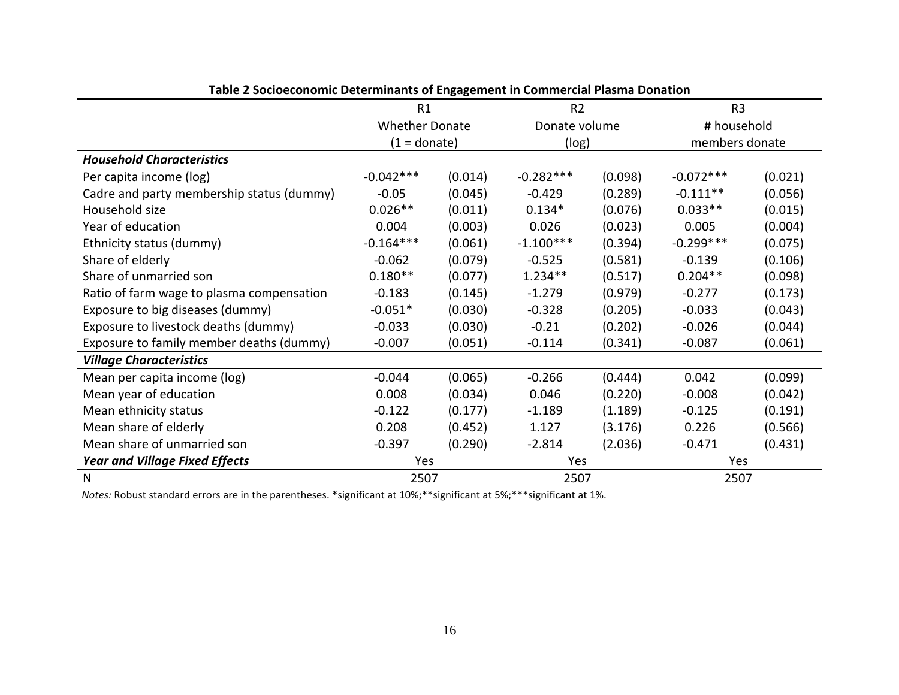|                                           | o-o<br>R1             |         | R <sub>2</sub> |         | R <sub>3</sub> |         |
|-------------------------------------------|-----------------------|---------|----------------|---------|----------------|---------|
|                                           | <b>Whether Donate</b> |         | Donate volume  |         | # household    |         |
|                                           | $(1 = \text{donate})$ |         | (log)          |         | members donate |         |
| <b>Household Characteristics</b>          |                       |         |                |         |                |         |
| Per capita income (log)                   | $-0.042***$           | (0.014) | $-0.282***$    | (0.098) | $-0.072***$    | (0.021) |
| Cadre and party membership status (dummy) | $-0.05$               | (0.045) | $-0.429$       | (0.289) | $-0.111**$     | (0.056) |
| Household size                            | $0.026**$             | (0.011) | $0.134*$       | (0.076) | $0.033**$      | (0.015) |
| Year of education                         | 0.004                 | (0.003) | 0.026          | (0.023) | 0.005          | (0.004) |
| Ethnicity status (dummy)                  | $-0.164***$           | (0.061) | $-1.100***$    | (0.394) | $-0.299***$    | (0.075) |
| Share of elderly                          | $-0.062$              | (0.079) | $-0.525$       | (0.581) | $-0.139$       | (0.106) |
| Share of unmarried son                    | $0.180**$             | (0.077) | $1.234**$      | (0.517) | $0.204**$      | (0.098) |
| Ratio of farm wage to plasma compensation | $-0.183$              | (0.145) | $-1.279$       | (0.979) | $-0.277$       | (0.173) |
| Exposure to big diseases (dummy)          | $-0.051*$             | (0.030) | $-0.328$       | (0.205) | $-0.033$       | (0.043) |
| Exposure to livestock deaths (dummy)      | $-0.033$              | (0.030) | $-0.21$        | (0.202) | $-0.026$       | (0.044) |
| Exposure to family member deaths (dummy)  | $-0.007$              | (0.051) | $-0.114$       | (0.341) | $-0.087$       | (0.061) |
| <b>Village Characteristics</b>            |                       |         |                |         |                |         |
| Mean per capita income (log)              | $-0.044$              | (0.065) | $-0.266$       | (0.444) | 0.042          | (0.099) |
| Mean year of education                    | 0.008                 | (0.034) | 0.046          | (0.220) | $-0.008$       | (0.042) |
| Mean ethnicity status                     | $-0.122$              | (0.177) | $-1.189$       | (1.189) | $-0.125$       | (0.191) |
| Mean share of elderly                     | 0.208                 | (0.452) | 1.127          | (3.176) | 0.226          | (0.566) |
| Mean share of unmarried son               | $-0.397$              | (0.290) | $-2.814$       | (2.036) | $-0.471$       | (0.431) |
| <b>Year and Village Fixed Effects</b>     | Yes                   |         | Yes            |         | Yes            |         |
| N                                         | 2507                  |         | 2507           |         | 2507           |         |

*Notes:* Robust standard errors are in the parentheses. \*significant at 10%;\*\*significant at 5%;\*\*\*significant at 1%.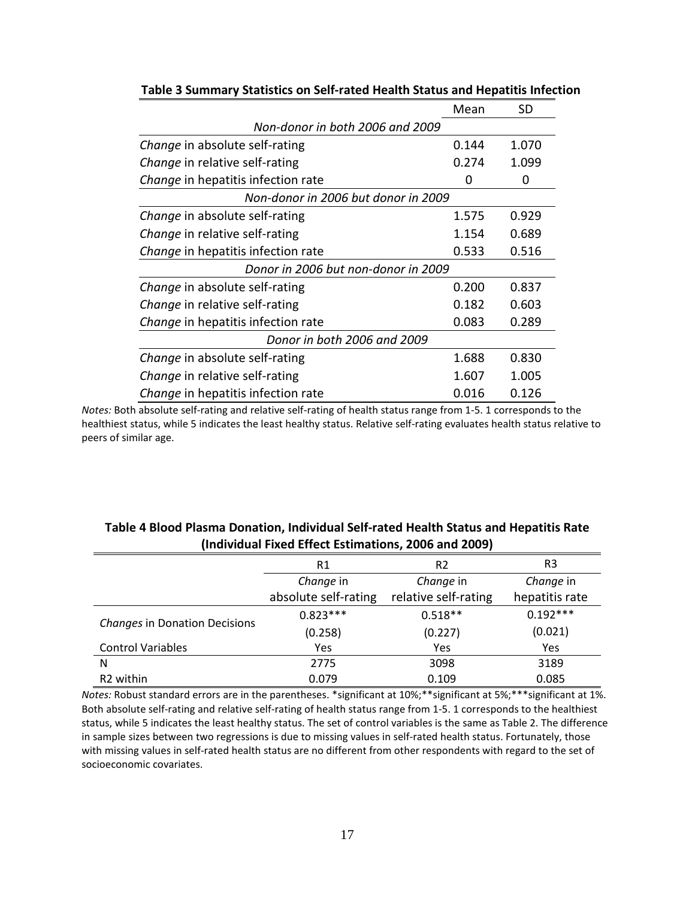|                                           | Mean                                | SD    |  |  |  |  |  |
|-------------------------------------------|-------------------------------------|-------|--|--|--|--|--|
| Non-donor in both 2006 and 2009           |                                     |       |  |  |  |  |  |
| Change in absolute self-rating            | 0.144                               | 1.070 |  |  |  |  |  |
| <i>Change</i> in relative self-rating     | 0.274                               | 1.099 |  |  |  |  |  |
| Change in hepatitis infection rate        | O                                   | 0     |  |  |  |  |  |
| Non-donor in 2006 but donor in 2009       |                                     |       |  |  |  |  |  |
| Change in absolute self-rating            | 1.575                               | 0.929 |  |  |  |  |  |
| Change in relative self-rating            | 1.154                               | 0.689 |  |  |  |  |  |
| <i>Change</i> in hepatitis infection rate | 0.533                               | 0.516 |  |  |  |  |  |
|                                           | Donor in 2006 but non-donor in 2009 |       |  |  |  |  |  |
| Change in absolute self-rating            | 0.200                               | 0.837 |  |  |  |  |  |
| Change in relative self-rating            | 0.182                               | 0.603 |  |  |  |  |  |
| <i>Change</i> in hepatitis infection rate | 0.083                               | 0.289 |  |  |  |  |  |
| Donor in both 2006 and 2009               |                                     |       |  |  |  |  |  |
| Change in absolute self-rating            | 1.688                               | 0.830 |  |  |  |  |  |
| <i>Change</i> in relative self-rating     | 1.607                               | 1.005 |  |  |  |  |  |
| <i>Change</i> in hepatitis infection rate | 0.016                               | 0.126 |  |  |  |  |  |

#### **Table 3 Summary Statistics on Self-rated Health Status and Hepatitis Infection**

*Notes:* Both absolute self-rating and relative self-rating of health status range from 1-5. 1 corresponds to the healthiest status, while 5 indicates the least healthy status. Relative self-rating evaluates health status relative to peers of similar age.

|                                      | R1                   | R <sub>2</sub>       | R <sub>3</sub> |
|--------------------------------------|----------------------|----------------------|----------------|
|                                      | Change in            | Change in            | Change in      |
|                                      | absolute self-rating | relative self-rating | hepatitis rate |
|                                      | $0.823***$           | $0.518**$            | $0.192***$     |
| <b>Changes in Donation Decisions</b> | (0.258)              | (0.227)              | (0.021)        |
| <b>Control Variables</b>             | Yes                  | Yes                  | Yes            |
| N                                    | 2775                 | 3098                 | 3189           |
| R <sub>2</sub> within                | 0.079                | 0.109                | 0.085          |

### **Table 4 Blood Plasma Donation, Individual Self-rated Health Status and Hepatitis Rate (Individual Fixed Effect Estimations, 2006 and 2009)**

*Notes:* Robust standard errors are in the parentheses. \*significant at 10%;\*\*significant at 5%;\*\*\*significant at 1%. Both absolute self-rating and relative self-rating of health status range from 1-5. 1 corresponds to the healthiest status, while 5 indicates the least healthy status. The set of control variables is the same as Table 2. The difference in sample sizes between two regressions is due to missing values in self-rated health status. Fortunately, those with missing values in self-rated health status are no different from other respondents with regard to the set of socioeconomic covariates.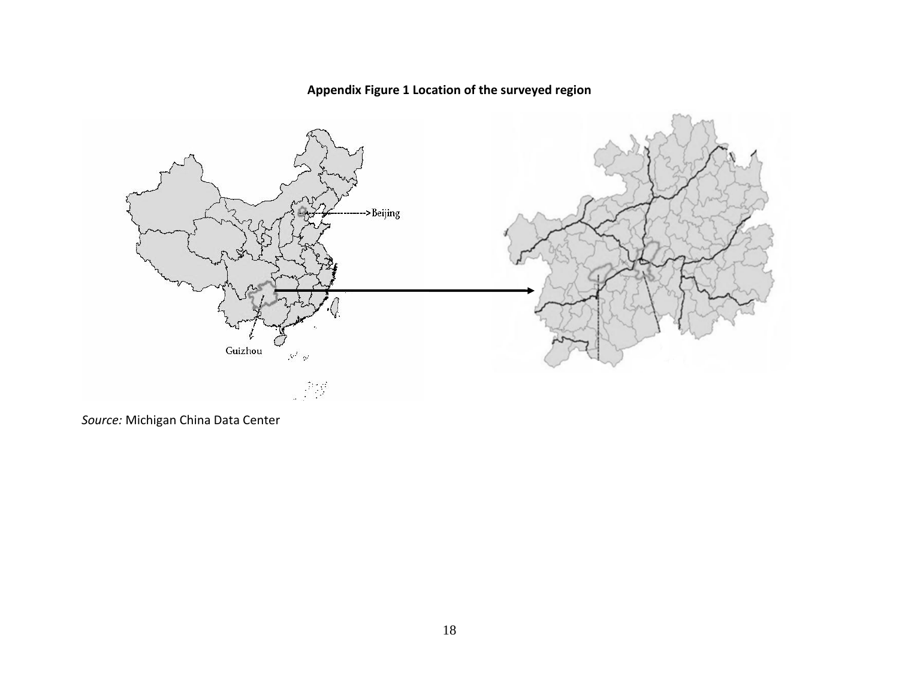## **Appendix Figure 1 Location of the surveyed region**



*Source:* Michigan China Data Center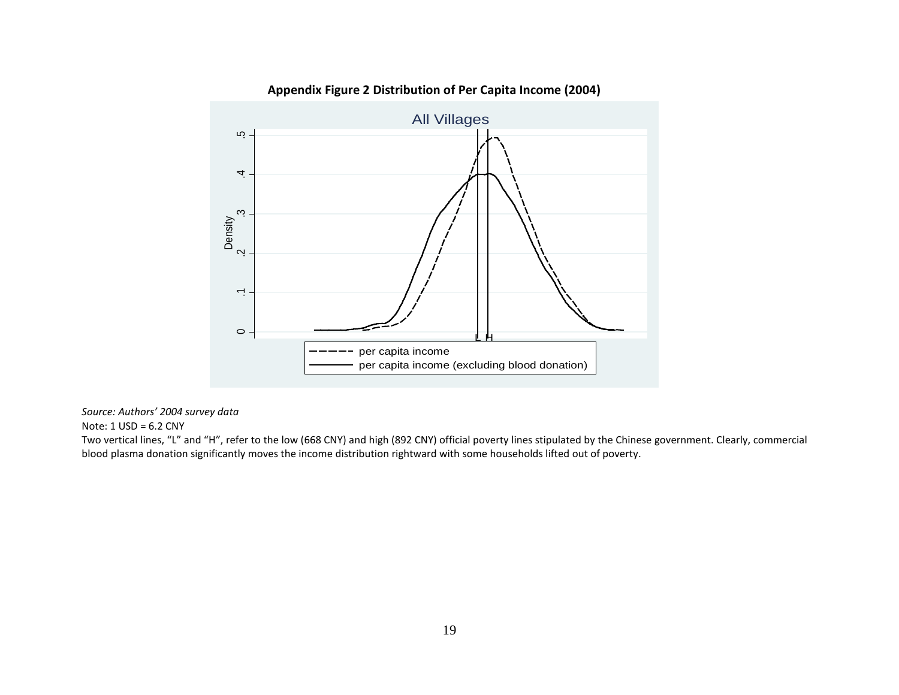

### **Appendix Figure 2 Distribution of Per Capita Income (2004)**

*Source: Authors' 2004 survey data*

Note: 1 USD = 6.2 CNY

Two vertical lines, "L" and "H", refer to the low (668 CNY) and high (892 CNY) official poverty lines stipulated by the Chinese government. Clearly, commercial blood plasma donation significantly moves the income distribution rightward with some households lifted out of poverty.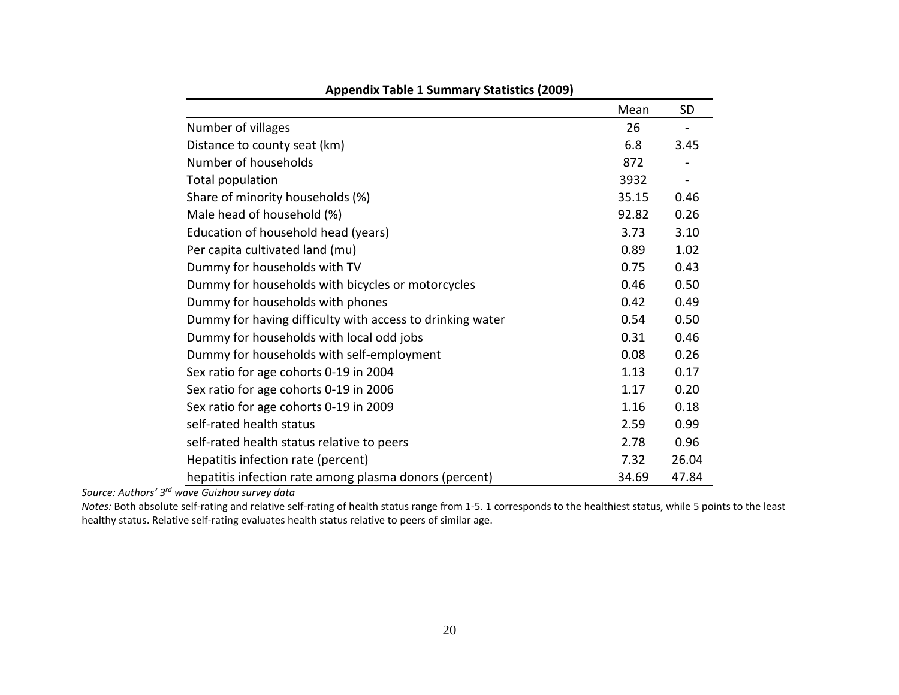|                                                           | Mean  | <b>SD</b> |
|-----------------------------------------------------------|-------|-----------|
| Number of villages                                        | 26    |           |
| Distance to county seat (km)                              | 6.8   | 3.45      |
| Number of households                                      | 872   |           |
| Total population                                          | 3932  |           |
| Share of minority households (%)                          | 35.15 | 0.46      |
| Male head of household (%)                                | 92.82 | 0.26      |
| Education of household head (years)                       | 3.73  | 3.10      |
| Per capita cultivated land (mu)                           | 0.89  | 1.02      |
| Dummy for households with TV                              | 0.75  | 0.43      |
| Dummy for households with bicycles or motorcycles         | 0.46  | 0.50      |
| Dummy for households with phones                          | 0.42  | 0.49      |
| Dummy for having difficulty with access to drinking water | 0.54  | 0.50      |
| Dummy for households with local odd jobs                  | 0.31  | 0.46      |
| Dummy for households with self-employment                 | 0.08  | 0.26      |
| Sex ratio for age cohorts 0-19 in 2004                    | 1.13  | 0.17      |
| Sex ratio for age cohorts 0-19 in 2006                    | 1.17  | 0.20      |
| Sex ratio for age cohorts 0-19 in 2009                    | 1.16  | 0.18      |
| self-rated health status                                  | 2.59  | 0.99      |
| self-rated health status relative to peers                | 2.78  | 0.96      |
| Hepatitis infection rate (percent)                        | 7.32  | 26.04     |
| hepatitis infection rate among plasma donors (percent)    | 34.69 | 47.84     |

**Appendix Table 1 Summary Statistics (2009)**

*Source: Authors' 3rd wave Guizhou survey data*

*Notes:* Both absolute self-rating and relative self-rating of health status range from 1-5. 1 corresponds to the healthiest status, while 5 points to the least healthy status. Relative self-rating evaluates health status relative to peers of similar age.